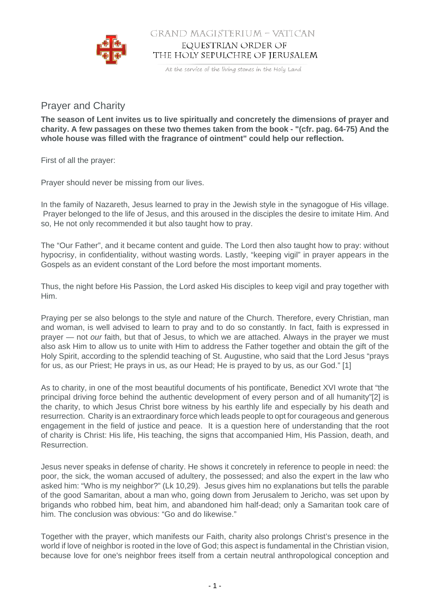

## GRAND MAGISTERIUM - VATICAN EQUESTRIAN ORDER OF THE HOLY SEPULCHRE OF JERUSALEM

At the service of the living stones in the Holy Land

## Prayer and Charity

**The season of Lent invites us to live spiritually and concretely the dimensions of prayer and charity. A few passages on these two themes taken from the book - "(cfr. pag. 64-75) And the whole house was filled with the fragrance of ointment" could help our reflection.**

First of all the prayer:

Prayer should never be missing from our lives.

In the family of Nazareth, Jesus learned to pray in the Jewish style in the synagogue of His village. Prayer belonged to the life of Jesus, and this aroused in the disciples the desire to imitate Him. And so, He not only recommended it but also taught how to pray.

The "Our Father", and it became content and guide. The Lord then also taught how to pray: without hypocrisy, in confidentiality, without wasting words. Lastly, "keeping vigil" in prayer appears in the Gospels as an evident constant of the Lord before the most important moments.

Thus, the night before His Passion, the Lord asked His disciples to keep vigil and pray together with Him.

Praying per se also belongs to the style and nature of the Church. Therefore, every Christian, man and woman, is well advised to learn to pray and to do so constantly. In fact, faith is expressed in prayer — not our faith, but that of Jesus, to which we are attached. Always in the prayer we must also ask Him to allow us to unite with Him to address the Father together and obtain the gift of the Holy Spirit, according to the splendid teaching of St. Augustine, who said that the Lord Jesus "prays for us, as our Priest; He prays in us, as our Head; He is prayed to by us, as our God." [1]

As to charity, in one of the most beautiful documents of his pontificate, Benedict XVI wrote that "the principal driving force behind the authentic development of every person and of all humanity"[2] is the charity, to which Jesus Christ bore witness by his earthly life and especially by his death and resurrection. Charity is an extraordinary force which leads people to opt for courageous and generous engagement in the field of justice and peace. It is a question here of understanding that the root of charity is Christ: His life, His teaching, the signs that accompanied Him, His Passion, death, and Resurrection.

Jesus never speaks in defense of charity. He shows it concretely in reference to people in need: the poor, the sick, the woman accused of adultery, the possessed; and also the expert in the law who asked him: "Who is my neighbor?" (Lk 10,29). Jesus gives him no explanations but tells the parable of the good Samaritan, about a man who, going down from Jerusalem to Jericho, was set upon by brigands who robbed him, beat him, and abandoned him half-dead; only a Samaritan took care of him. The conclusion was obvious: "Go and do likewise."

Together with the prayer, which manifests our Faith, charity also prolongs Christ's presence in the world if love of neighbor is rooted in the love of God; this aspect is fundamental in the Christian vision, because love for one's neighbor frees itself from a certain neutral anthropological conception and